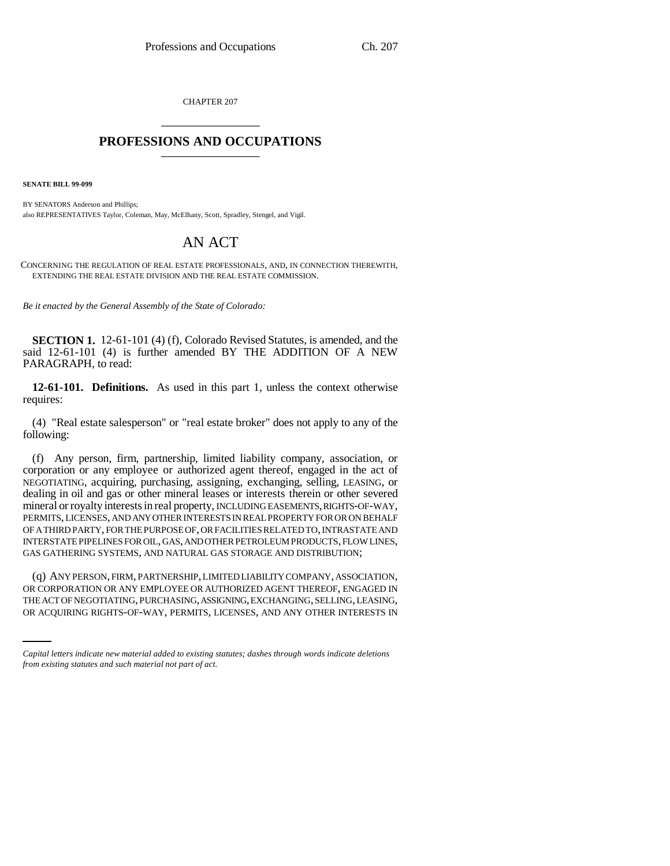CHAPTER 207 \_\_\_\_\_\_\_\_\_\_\_\_\_\_\_

## **PROFESSIONS AND OCCUPATIONS** \_\_\_\_\_\_\_\_\_\_\_\_\_\_\_

**SENATE BILL 99-099** 

BY SENATORS Anderson and Phillips; also REPRESENTATIVES Taylor, Coleman, May, McElhany, Scott, Spradley, Stengel, and Vigil.

## AN ACT

CONCERNING THE REGULATION OF REAL ESTATE PROFESSIONALS, AND, IN CONNECTION THEREWITH, EXTENDING THE REAL ESTATE DIVISION AND THE REAL ESTATE COMMISSION.

*Be it enacted by the General Assembly of the State of Colorado:*

**SECTION 1.** 12-61-101 (4) (f), Colorado Revised Statutes, is amended, and the said 12-61-101 (4) is further amended BY THE ADDITION OF A NEW PARAGRAPH, to read:

**12-61-101. Definitions.** As used in this part 1, unless the context otherwise requires:

(4) "Real estate salesperson" or "real estate broker" does not apply to any of the following:

(f) Any person, firm, partnership, limited liability company, association, or corporation or any employee or authorized agent thereof, engaged in the act of NEGOTIATING, acquiring, purchasing, assigning, exchanging, selling, LEASING, or dealing in oil and gas or other mineral leases or interests therein or other severed mineral or royalty interests in real property, INCLUDING EASEMENTS, RIGHTS-OF-WAY, PERMITS, LICENSES, AND ANY OTHER INTERESTS IN REAL PROPERTY FOR OR ON BEHALF OF A THIRD PARTY, FOR THE PURPOSE OF, OR FACILITIES RELATED TO, INTRASTATE AND INTERSTATE PIPELINES FOR OIL, GAS, AND OTHER PETROLEUM PRODUCTS, FLOW LINES, GAS GATHERING SYSTEMS, AND NATURAL GAS STORAGE AND DISTRIBUTION;

OR CORPORATION OR ANY EMPLOYEE OR AUTHORIZED AGENT THEREOF, ENGAGED IN (q) ANY PERSON, FIRM, PARTNERSHIP, LIMITED LIABILITY COMPANY, ASSOCIATION, THE ACT OF NEGOTIATING, PURCHASING, ASSIGNING, EXCHANGING, SELLING, LEASING, OR ACQUIRING RIGHTS-OF-WAY, PERMITS, LICENSES, AND ANY OTHER INTERESTS IN

*Capital letters indicate new material added to existing statutes; dashes through words indicate deletions from existing statutes and such material not part of act.*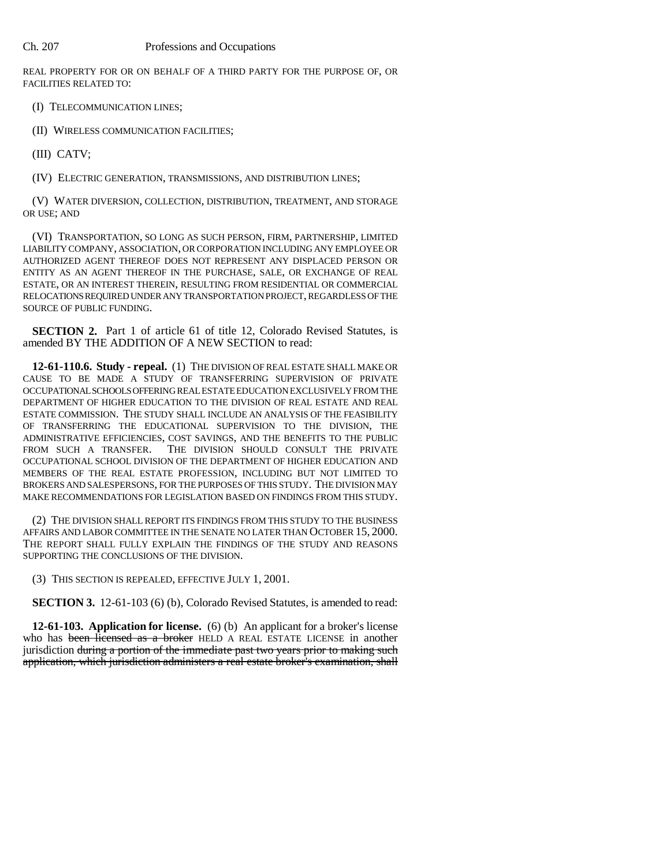REAL PROPERTY FOR OR ON BEHALF OF A THIRD PARTY FOR THE PURPOSE OF, OR FACILITIES RELATED TO:

(I) TELECOMMUNICATION LINES;

(II) WIRELESS COMMUNICATION FACILITIES;

(III) CATV;

(IV) ELECTRIC GENERATION, TRANSMISSIONS, AND DISTRIBUTION LINES;

(V) WATER DIVERSION, COLLECTION, DISTRIBUTION, TREATMENT, AND STORAGE OR USE; AND

(VI) TRANSPORTATION, SO LONG AS SUCH PERSON, FIRM, PARTNERSHIP, LIMITED LIABILITY COMPANY, ASSOCIATION, OR CORPORATION INCLUDING ANY EMPLOYEE OR AUTHORIZED AGENT THEREOF DOES NOT REPRESENT ANY DISPLACED PERSON OR ENTITY AS AN AGENT THEREOF IN THE PURCHASE, SALE, OR EXCHANGE OF REAL ESTATE, OR AN INTEREST THEREIN, RESULTING FROM RESIDENTIAL OR COMMERCIAL RELOCATIONS REQUIRED UNDER ANY TRANSPORTATION PROJECT, REGARDLESS OF THE SOURCE OF PUBLIC FUNDING.

**SECTION 2.** Part 1 of article 61 of title 12, Colorado Revised Statutes, is amended BY THE ADDITION OF A NEW SECTION to read:

**12-61-110.6. Study - repeal.** (1) THE DIVISION OF REAL ESTATE SHALL MAKE OR CAUSE TO BE MADE A STUDY OF TRANSFERRING SUPERVISION OF PRIVATE OCCUPATIONAL SCHOOLS OFFERING REAL ESTATE EDUCATION EXCLUSIVELY FROM THE DEPARTMENT OF HIGHER EDUCATION TO THE DIVISION OF REAL ESTATE AND REAL ESTATE COMMISSION. THE STUDY SHALL INCLUDE AN ANALYSIS OF THE FEASIBILITY OF TRANSFERRING THE EDUCATIONAL SUPERVISION TO THE DIVISION, THE ADMINISTRATIVE EFFICIENCIES, COST SAVINGS, AND THE BENEFITS TO THE PUBLIC<br>FROM SUCH A TRANSFER. THE DIVISION SHOULD CONSULT THE PRIVATE THE DIVISION SHOULD CONSULT THE PRIVATE OCCUPATIONAL SCHOOL DIVISION OF THE DEPARTMENT OF HIGHER EDUCATION AND MEMBERS OF THE REAL ESTATE PROFESSION, INCLUDING BUT NOT LIMITED TO BROKERS AND SALESPERSONS, FOR THE PURPOSES OF THIS STUDY. THE DIVISION MAY MAKE RECOMMENDATIONS FOR LEGISLATION BASED ON FINDINGS FROM THIS STUDY.

(2) THE DIVISION SHALL REPORT ITS FINDINGS FROM THIS STUDY TO THE BUSINESS AFFAIRS AND LABOR COMMITTEE IN THE SENATE NO LATER THAN OCTOBER 15, 2000. THE REPORT SHALL FULLY EXPLAIN THE FINDINGS OF THE STUDY AND REASONS SUPPORTING THE CONCLUSIONS OF THE DIVISION.

(3) THIS SECTION IS REPEALED, EFFECTIVE JULY 1, 2001.

**SECTION 3.** 12-61-103 (6) (b), Colorado Revised Statutes, is amended to read:

**12-61-103. Application for license.** (6) (b) An applicant for a broker's license who has been licensed as a broker HELD A REAL ESTATE LICENSE in another jurisdiction during a portion of the immediate past two years prior to making such application, which jurisdiction administers a real estate broker's examination, shall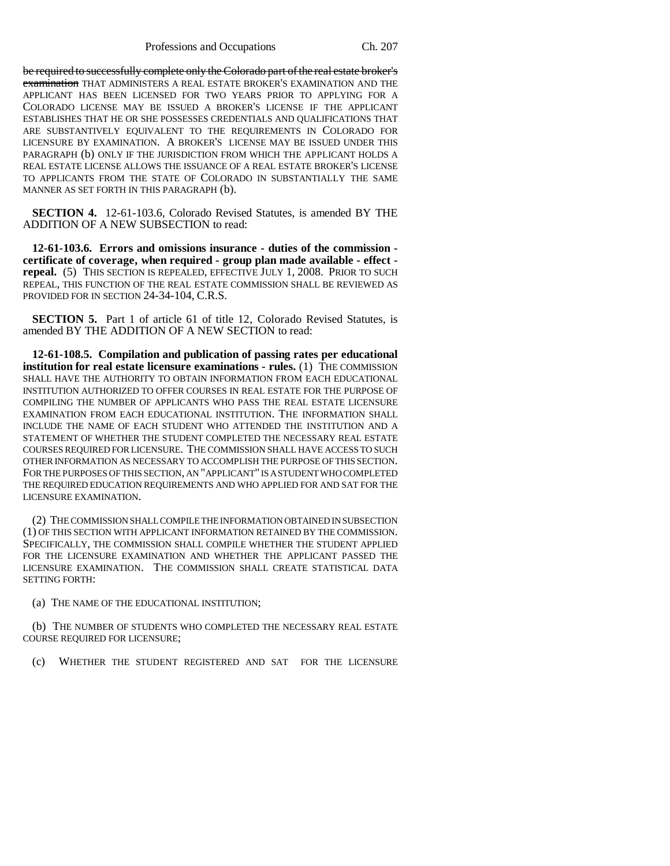Professions and Occupations Ch. 207

be required to successfully complete only the Colorado part of the real estate broker's examination THAT ADMINISTERS A REAL ESTATE BROKER'S EXAMINATION AND THE APPLICANT HAS BEEN LICENSED FOR TWO YEARS PRIOR TO APPLYING FOR A COLORADO LICENSE MAY BE ISSUED A BROKER'S LICENSE IF THE APPLICANT ESTABLISHES THAT HE OR SHE POSSESSES CREDENTIALS AND QUALIFICATIONS THAT ARE SUBSTANTIVELY EQUIVALENT TO THE REQUIREMENTS IN COLORADO FOR LICENSURE BY EXAMINATION. A BROKER'S LICENSE MAY BE ISSUED UNDER THIS PARAGRAPH (b) ONLY IF THE JURISDICTION FROM WHICH THE APPLICANT HOLDS A REAL ESTATE LICENSE ALLOWS THE ISSUANCE OF A REAL ESTATE BROKER'S LICENSE TO APPLICANTS FROM THE STATE OF COLORADO IN SUBSTANTIALLY THE SAME MANNER AS SET FORTH IN THIS PARAGRAPH (b).

**SECTION 4.** 12-61-103.6, Colorado Revised Statutes, is amended BY THE ADDITION OF A NEW SUBSECTION to read:

**12-61-103.6. Errors and omissions insurance - duties of the commission certificate of coverage, when required - group plan made available - effect repeal.** (5) THIS SECTION IS REPEALED, EFFECTIVE JULY 1, 2008. PRIOR TO SUCH REPEAL, THIS FUNCTION OF THE REAL ESTATE COMMISSION SHALL BE REVIEWED AS PROVIDED FOR IN SECTION 24-34-104, C.R.S.

**SECTION 5.** Part 1 of article 61 of title 12, Colorado Revised Statutes, is amended BY THE ADDITION OF A NEW SECTION to read:

**12-61-108.5. Compilation and publication of passing rates per educational institution for real estate licensure examinations - rules.** (1) THE COMMISSION SHALL HAVE THE AUTHORITY TO OBTAIN INFORMATION FROM EACH EDUCATIONAL INSTITUTION AUTHORIZED TO OFFER COURSES IN REAL ESTATE FOR THE PURPOSE OF COMPILING THE NUMBER OF APPLICANTS WHO PASS THE REAL ESTATE LICENSURE EXAMINATION FROM EACH EDUCATIONAL INSTITUTION. THE INFORMATION SHALL INCLUDE THE NAME OF EACH STUDENT WHO ATTENDED THE INSTITUTION AND A STATEMENT OF WHETHER THE STUDENT COMPLETED THE NECESSARY REAL ESTATE COURSES REQUIRED FOR LICENSURE. THE COMMISSION SHALL HAVE ACCESS TO SUCH OTHER INFORMATION AS NECESSARY TO ACCOMPLISH THE PURPOSE OF THIS SECTION. FOR THE PURPOSES OF THIS SECTION, AN "APPLICANT" IS A STUDENT WHO COMPLETED THE REQUIRED EDUCATION REQUIREMENTS AND WHO APPLIED FOR AND SAT FOR THE LICENSURE EXAMINATION.

(2) THE COMMISSION SHALL COMPILE THE INFORMATION OBTAINED IN SUBSECTION (1) OF THIS SECTION WITH APPLICANT INFORMATION RETAINED BY THE COMMISSION. SPECIFICALLY, THE COMMISSION SHALL COMPILE WHETHER THE STUDENT APPLIED FOR THE LICENSURE EXAMINATION AND WHETHER THE APPLICANT PASSED THE LICENSURE EXAMINATION. THE COMMISSION SHALL CREATE STATISTICAL DATA SETTING FORTH:

(a) THE NAME OF THE EDUCATIONAL INSTITUTION;

(b) THE NUMBER OF STUDENTS WHO COMPLETED THE NECESSARY REAL ESTATE COURSE REQUIRED FOR LICENSURE;

(c) WHETHER THE STUDENT REGISTERED AND SAT FOR THE LICENSURE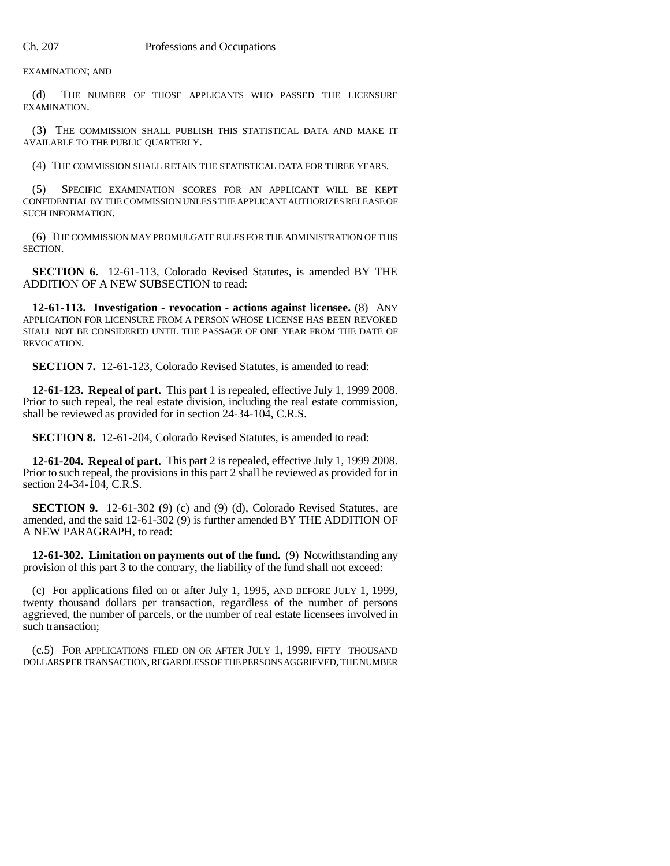EXAMINATION; AND

(d) THE NUMBER OF THOSE APPLICANTS WHO PASSED THE LICENSURE EXAMINATION.

(3) THE COMMISSION SHALL PUBLISH THIS STATISTICAL DATA AND MAKE IT AVAILABLE TO THE PUBLIC QUARTERLY.

(4) THE COMMISSION SHALL RETAIN THE STATISTICAL DATA FOR THREE YEARS.

(5) SPECIFIC EXAMINATION SCORES FOR AN APPLICANT WILL BE KEPT CONFIDENTIAL BY THE COMMISSION UNLESS THE APPLICANT AUTHORIZES RELEASE OF SUCH INFORMATION.

(6) THE COMMISSION MAY PROMULGATE RULES FOR THE ADMINISTRATION OF THIS SECTION.

**SECTION 6.** 12-61-113, Colorado Revised Statutes, is amended BY THE ADDITION OF A NEW SUBSECTION to read:

**12-61-113. Investigation - revocation - actions against licensee.** (8) ANY APPLICATION FOR LICENSURE FROM A PERSON WHOSE LICENSE HAS BEEN REVOKED SHALL NOT BE CONSIDERED UNTIL THE PASSAGE OF ONE YEAR FROM THE DATE OF REVOCATION.

**SECTION 7.** 12-61-123, Colorado Revised Statutes, is amended to read:

**12-61-123. Repeal of part.** This part 1 is repealed, effective July 1, 1999 2008. Prior to such repeal, the real estate division, including the real estate commission, shall be reviewed as provided for in section 24-34-104, C.R.S.

**SECTION 8.** 12-61-204, Colorado Revised Statutes, is amended to read:

**12-61-204. Repeal of part.** This part 2 is repealed, effective July 1, 1999 2008. Prior to such repeal, the provisions in this part 2 shall be reviewed as provided for in section 24-34-104, C.R.S.

**SECTION 9.** 12-61-302 (9) (c) and (9) (d), Colorado Revised Statutes, are amended, and the said 12-61-302 (9) is further amended BY THE ADDITION OF A NEW PARAGRAPH, to read:

**12-61-302. Limitation on payments out of the fund.** (9) Notwithstanding any provision of this part 3 to the contrary, the liability of the fund shall not exceed:

(c) For applications filed on or after July 1, 1995, AND BEFORE JULY 1, 1999, twenty thousand dollars per transaction, regardless of the number of persons aggrieved, the number of parcels, or the number of real estate licensees involved in such transaction;

(c.5) FOR APPLICATIONS FILED ON OR AFTER JULY 1, 1999, FIFTY THOUSAND DOLLARS PER TRANSACTION, REGARDLESS OF THE PERSONS AGGRIEVED, THE NUMBER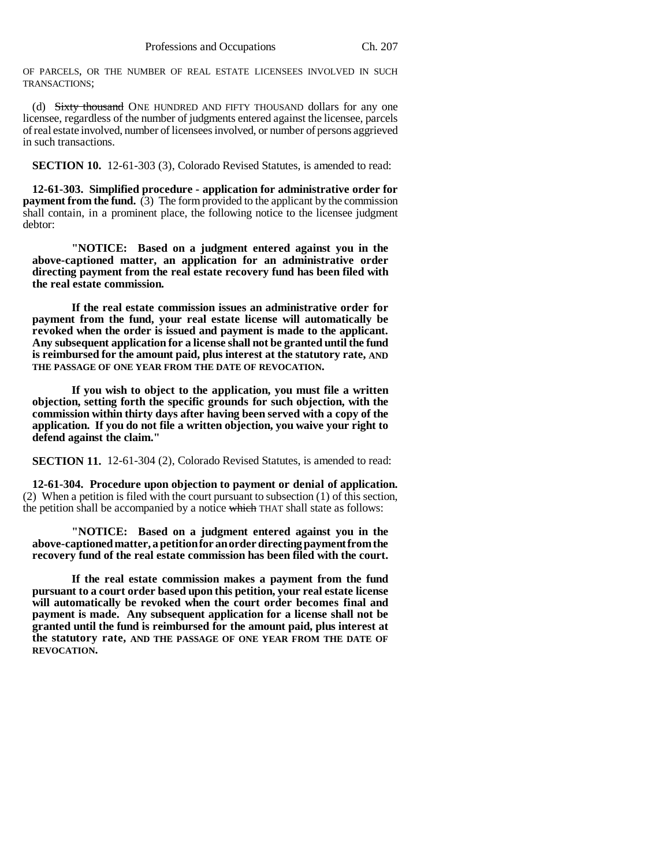OF PARCELS, OR THE NUMBER OF REAL ESTATE LICENSEES INVOLVED IN SUCH TRANSACTIONS;

(d) Sixty thousand ONE HUNDRED AND FIFTY THOUSAND dollars for any one licensee, regardless of the number of judgments entered against the licensee, parcels of real estate involved, number of licensees involved, or number of persons aggrieved in such transactions.

**SECTION 10.** 12-61-303 (3), Colorado Revised Statutes, is amended to read:

**12-61-303. Simplified procedure - application for administrative order for payment from the fund.** (3) The form provided to the applicant by the commission shall contain, in a prominent place, the following notice to the licensee judgment debtor:

**"NOTICE: Based on a judgment entered against you in the above-captioned matter, an application for an administrative order directing payment from the real estate recovery fund has been filed with the real estate commission.**

**If the real estate commission issues an administrative order for payment from the fund, your real estate license will automatically be revoked when the order is issued and payment is made to the applicant. Any subsequent application for a license shall not be granted until the fund is reimbursed for the amount paid, plus interest at the statutory rate, AND THE PASSAGE OF ONE YEAR FROM THE DATE OF REVOCATION.**

**If you wish to object to the application, you must file a written objection, setting forth the specific grounds for such objection, with the commission within thirty days after having been served with a copy of the application. If you do not file a written objection, you waive your right to defend against the claim."**

**SECTION 11.** 12-61-304 (2), Colorado Revised Statutes, is amended to read:

**12-61-304. Procedure upon objection to payment or denial of application.** (2) When a petition is filed with the court pursuant to subsection (1) of this section, the petition shall be accompanied by a notice which THAT shall state as follows:

**"NOTICE: Based on a judgment entered against you in the above-captioned matter, a petition for an order directing payment from the recovery fund of the real estate commission has been filed with the court.**

**If the real estate commission makes a payment from the fund pursuant to a court order based upon this petition, your real estate license will automatically be revoked when the court order becomes final and payment is made. Any subsequent application for a license shall not be granted until the fund is reimbursed for the amount paid, plus interest at the statutory rate, AND THE PASSAGE OF ONE YEAR FROM THE DATE OF REVOCATION.**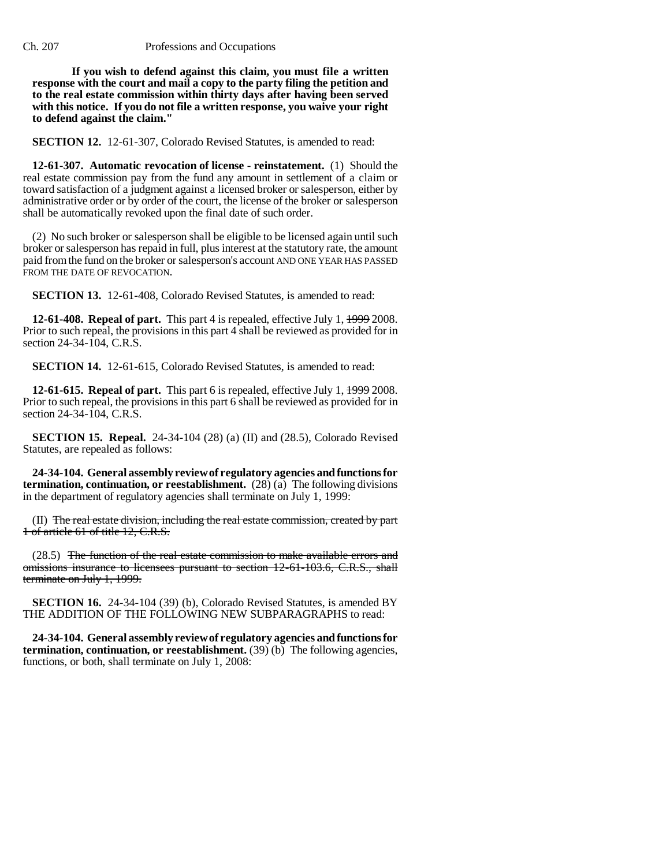## Ch. 207 Professions and Occupations

**If you wish to defend against this claim, you must file a written response with the court and mail a copy to the party filing the petition and to the real estate commission within thirty days after having been served with this notice. If you do not file a written response, you waive your right to defend against the claim."**

**SECTION 12.** 12-61-307, Colorado Revised Statutes, is amended to read:

**12-61-307. Automatic revocation of license - reinstatement.** (1) Should the real estate commission pay from the fund any amount in settlement of a claim or toward satisfaction of a judgment against a licensed broker or salesperson, either by administrative order or by order of the court, the license of the broker or salesperson shall be automatically revoked upon the final date of such order.

(2) No such broker or salesperson shall be eligible to be licensed again until such broker or salesperson has repaid in full, plus interest at the statutory rate, the amount paid from the fund on the broker or salesperson's account AND ONE YEAR HAS PASSED FROM THE DATE OF REVOCATION.

**SECTION 13.** 12-61-408, Colorado Revised Statutes, is amended to read:

**12-61-408. Repeal of part.** This part 4 is repealed, effective July 1, 1999 2008. Prior to such repeal, the provisions in this part 4 shall be reviewed as provided for in section 24-34-104, C.R.S.

**SECTION 14.** 12-61-615, Colorado Revised Statutes, is amended to read:

**12-61-615. Repeal of part.** This part 6 is repealed, effective July 1, 1999 2008. Prior to such repeal, the provisions in this part 6 shall be reviewed as provided for in section 24-34-104, C.R.S.

**SECTION 15. Repeal.** 24-34-104 (28) (a) (II) and (28.5), Colorado Revised Statutes, are repealed as follows:

**24-34-104. General assembly review of regulatory agencies and functions for termination, continuation, or reestablishment.** (28) (a) The following divisions in the department of regulatory agencies shall terminate on July 1, 1999:

(II) The real estate division, including the real estate commission, created by part 1 of article 61 of title 12, C.R.S.

(28.5) The function of the real estate commission to make available errors and omissions insurance to licensees pursuant to section 12-61-103.6, C.R.S., shall terminate on July 1, 1999.

**SECTION 16.** 24-34-104 (39) (b), Colorado Revised Statutes, is amended BY THE ADDITION OF THE FOLLOWING NEW SUBPARAGRAPHS to read:

**24-34-104. General assembly review of regulatory agencies and functions for termination, continuation, or reestablishment.** (39) (b) The following agencies, functions, or both, shall terminate on July 1, 2008: